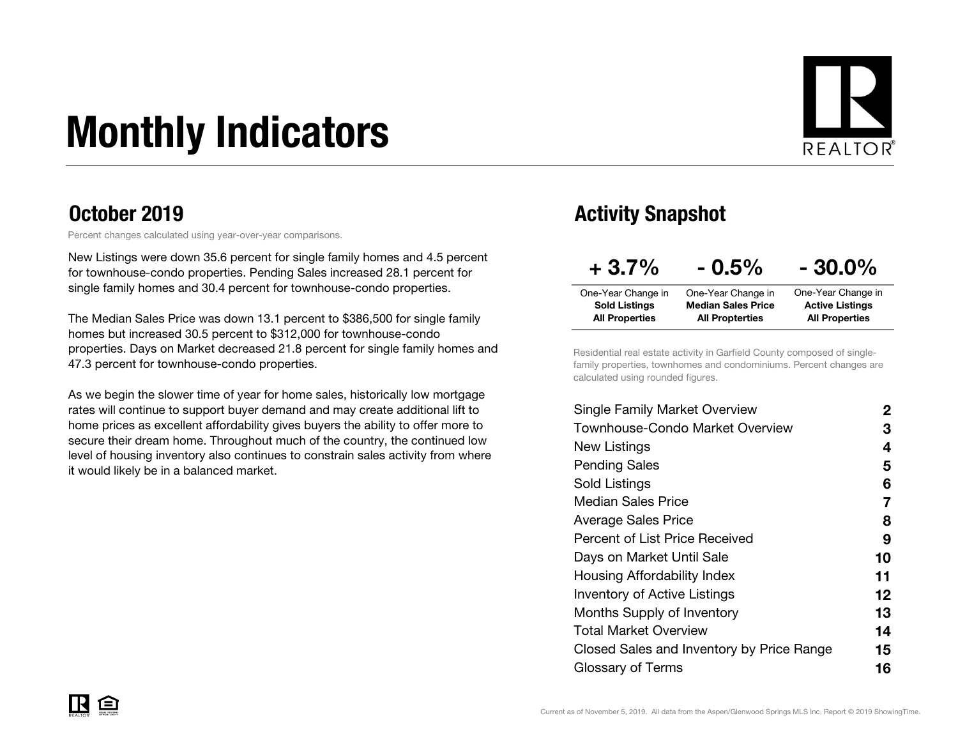# Monthly Indicators



#### October 2019

Percent changes calculated using year-over-year comparisons.

New Listings were down 35.6 percent for single family homes and 4.5 percent for townhouse-condo properties. Pending Sales increased 28.1 percent for single family homes and 30.4 percent for townhouse-condo properties.

The Median Sales Price was down 13.1 percent to \$386,500 for single family homes but increased 30.5 percent to \$312,000 for townhouse-condo properties. Days on Market decreased 21.8 percent for single family homes and 47.3 percent for townhouse-condo properties.

As we begin the slower time of year for home sales, historically low mortgage rates will continue to support buyer demand and may create additional lift to home prices as excellent affordability gives buyers the ability to offer more to secure their dream home. Throughout much of the country, the continued low level of housing inventory also continues to constrain sales activity from where it would likely be in a balanced market.

#### Activity Snapshot

| $+3.7%$               | $-0.5\%$                  | $-30.0\%$              |
|-----------------------|---------------------------|------------------------|
| One-Year Change in    | One-Year Change in        | One-Year Change in     |
| <b>Sold Listings</b>  | <b>Median Sales Price</b> | <b>Active Listings</b> |
| <b>All Properties</b> | <b>All Propterties</b>    | <b>All Properties</b>  |

Residential real estate activity in Garfield County composed of singlefamily properties, townhomes and condominiums. Percent changes are calculated using rounded figures.

| Single Family Market Overview             | 2                 |
|-------------------------------------------|-------------------|
| Townhouse-Condo Market Overview           | З                 |
| New Listings                              | 4                 |
| Pending Sales                             | 5                 |
| Sold Listings                             | 6                 |
| <b>Median Sales Price</b>                 | 7                 |
| Average Sales Price                       | 8                 |
| Percent of List Price Received            | 9                 |
| Days on Market Until Sale                 | 10                |
| Housing Affordability Index               | 11                |
| <b>Inventory of Active Listings</b>       | $12 \overline{ }$ |
| <b>Months Supply of Inventory</b>         | 13                |
| Total Market Overview                     | 14                |
| Closed Sales and Inventory by Price Range | 15                |
| Glossary of Terms                         | 16                |
|                                           |                   |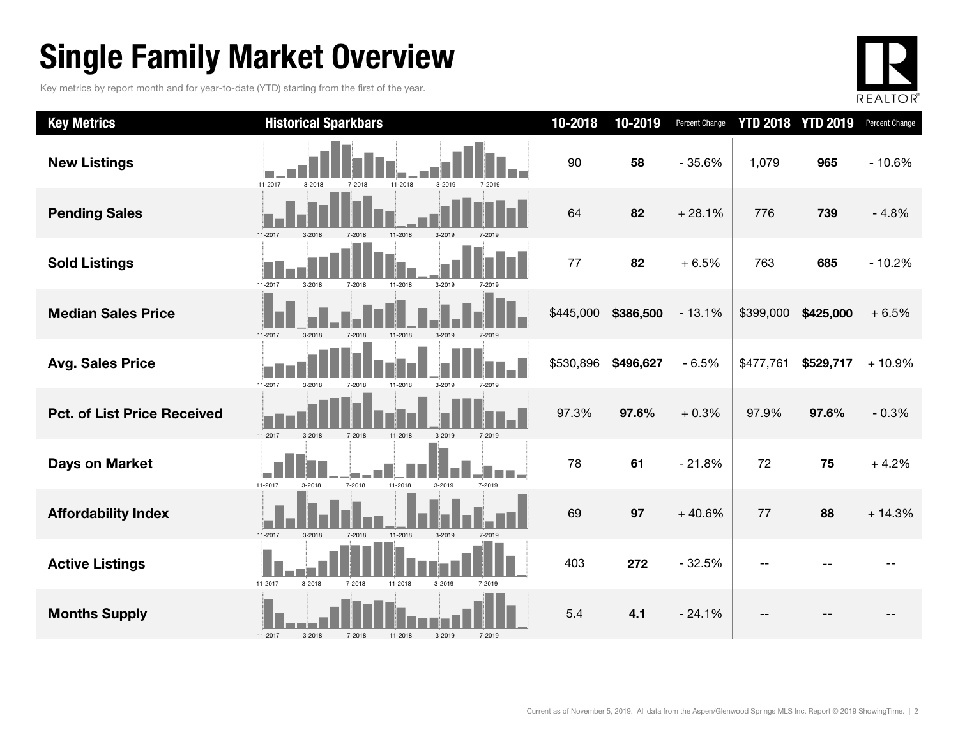## Single Family Market Overview

Key metrics by report month and for year-to-date (YTD) starting from the first of the year.



| <b>Key Metrics</b>                 | <b>Historical Sparkbars</b>                                    | 10-2018   | 10-2019   | Percent Change |           | <b>YTD 2018 YTD 2019</b> | Percent Change |
|------------------------------------|----------------------------------------------------------------|-----------|-----------|----------------|-----------|--------------------------|----------------|
| <b>New Listings</b>                | 11-2017<br>3-2018<br>11-2018<br>7-2018<br>3-2019<br>7-2019     | 90        | 58        | $-35.6%$       | 1,079     | 965                      | $-10.6%$       |
| <b>Pending Sales</b>               | 11-2017<br>$3 - 2018$<br>7-2018<br>11-2018<br>$3 - 2019$       | 64        | 82        | $+28.1%$       | 776       | 739                      | $-4.8%$        |
| <b>Sold Listings</b>               | 11-2017<br>3-2019<br>3-2018<br>7-2018<br>11-2018<br>7-2019     | 77        | 82        | $+6.5%$        | 763       | 685                      | $-10.2%$       |
| <b>Median Sales Price</b>          | 11-2017<br>3-2018<br>7-2018<br>11-2018<br>3-2019<br>7-2019     | \$445,000 | \$386,500 | $-13.1%$       | \$399,000 | \$425,000                | $+6.5%$        |
| <b>Avg. Sales Price</b>            | 11-2017<br>11-2018<br>3-2019<br>$3 - 2018$<br>7-2018<br>7-2019 | \$530,896 | \$496,627 | $-6.5%$        | \$477,761 | \$529,717                | $+10.9%$       |
| <b>Pct. of List Price Received</b> | 3-2019<br>11-2017<br>3-2018<br>7-2018<br>11-2018<br>7-2019     | 97.3%     | 97.6%     | $+0.3%$        | 97.9%     | 97.6%                    | $-0.3%$        |
| <b>Days on Market</b>              | 7-2018<br>11-2018<br>11-2017<br>3-2018<br>3-2019<br>7-2019     | 78        | 61        | $-21.8%$       | 72        | 75                       | $+4.2%$        |
| <b>Affordability Index</b>         | 11-2017<br>11-2018<br>3-2019<br>$3-2018$<br>7-2018             | 69        | 97        | $+40.6%$       | 77        | 88                       | $+14.3%$       |
| <b>Active Listings</b>             | 11-2017<br>3-2019<br>$3 - 2018$<br>7-2018<br>11-2018<br>7-2019 | 403       | 272       | $-32.5%$       |           |                          |                |
| <b>Months Supply</b>               | 3-2019<br>11-2017<br>3-2018<br>7-2018<br>7-2019<br>11-2018     | 5.4       | 4.1       | $-24.1%$       |           |                          |                |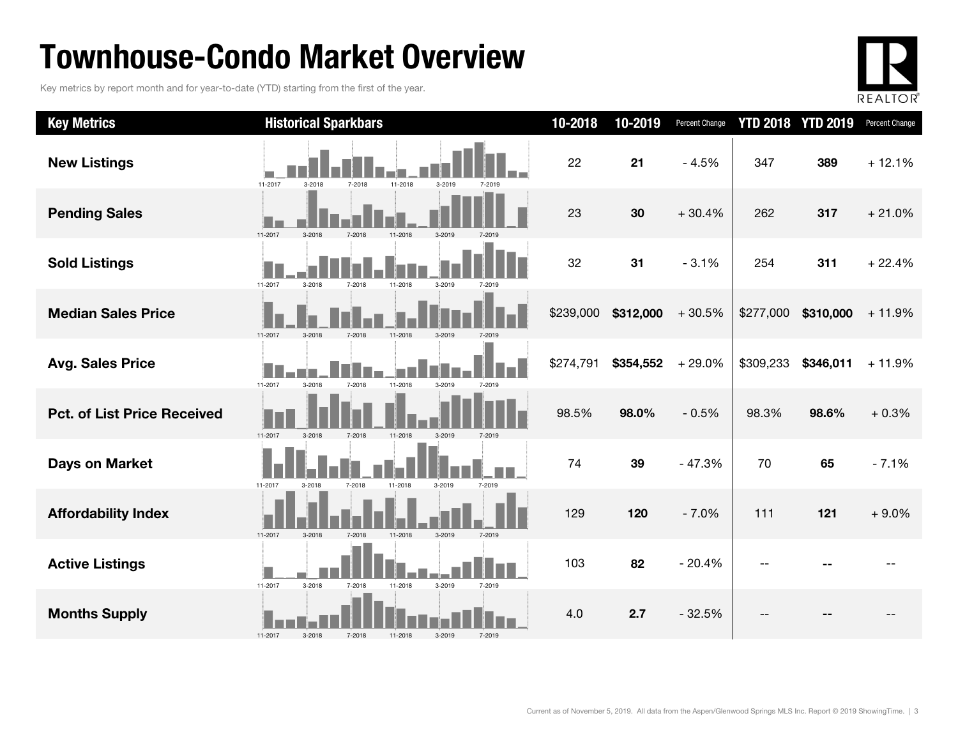### Townhouse-Condo Market Overview

Key metrics by report month and for year-to-date (YTD) starting from the first of the year.



| <b>Key Metrics</b>                 | <b>Historical Sparkbars</b>                                    | 10-2018   | 10-2019   | Percent Change |           | <b>YTD 2018 YTD 2019</b> | Percent Change |
|------------------------------------|----------------------------------------------------------------|-----------|-----------|----------------|-----------|--------------------------|----------------|
| <b>New Listings</b>                | 11-2017<br>$3-2018$<br>11-2018<br>3-2019<br>7-2018<br>7-2019   | 22        | 21        | $-4.5%$        | 347       | 389                      | $+12.1%$       |
| <b>Pending Sales</b>               | 11-2017<br>3-2018<br>3-2019                                    | 23        | 30        | $+30.4%$       | 262       | 317                      | $+21.0%$       |
| <b>Sold Listings</b>               | 11-2017<br>3-2018<br>11-2018<br>3-2019<br>7-2018<br>7-2019     | 32        | 31        | $-3.1%$        | 254       | 311                      | $+22.4%$       |
| <b>Median Sales Price</b>          | 11-2017<br>3-2018<br>7-2018<br>11-2018<br>3-2019               | \$239,000 | \$312,000 | $+30.5%$       | \$277,000 | \$310,000                | $+11.9%$       |
| <b>Avg. Sales Price</b>            | 11-2017<br>$3 - 2018$<br>7-2018<br>11-2018<br>3-2019<br>7-2019 | \$274,791 | \$354,552 | $+29.0%$       | \$309,233 | \$346,011                | $+11.9%$       |
| <b>Pct. of List Price Received</b> | 11-2017<br>$3 - 2018$<br>7-2018<br>11-2018<br>$3 - 2019$       | 98.5%     | 98.0%     | $-0.5%$        | 98.3%     | 98.6%                    | $+0.3%$        |
| <b>Days on Market</b>              | 11-2017<br>3-2019<br>7-2019<br>$3 - 2018$<br>7-2018<br>11-2018 | 74        | 39        | $-47.3%$       | 70        | 65                       | $-7.1%$        |
| <b>Affordability Index</b>         | 11-2017<br>3-2018<br>11-2018<br>3-2019<br>7-2018<br>7-2019     | 129       | 120       | $-7.0%$        | 111       | 121                      | $+9.0%$        |
| <b>Active Listings</b>             | 11-2017<br>3-2018<br>7-2018<br>11-2018<br>3-2019<br>7-2019     | 103       | 82        | $-20.4%$       |           |                          |                |
| <b>Months Supply</b>               | 11-2017<br>3-2018<br>3-2019<br>7-2019<br>7-2018<br>11-2018     | 4.0       | 2.7       | $-32.5%$       | $-$       |                          |                |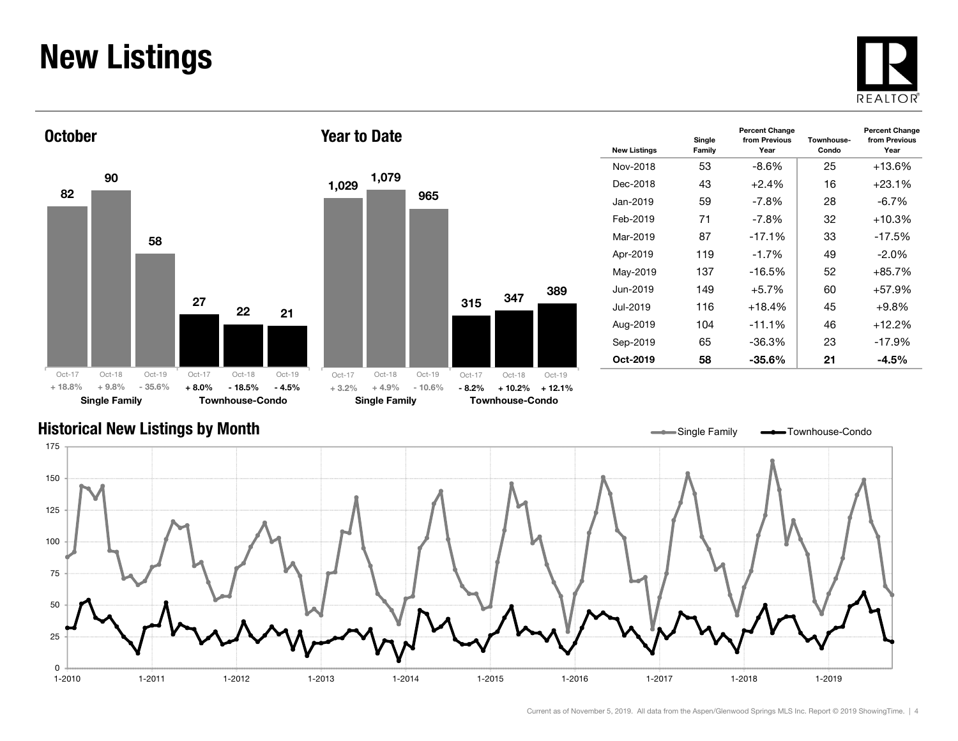#### New Listings







| <b>New Listings</b> | Single<br>Family | <b>Percent Change</b><br>from Previous<br>Year | Townhouse-<br>Condo | <b>Percent Change</b><br>from Previous<br>Year |
|---------------------|------------------|------------------------------------------------|---------------------|------------------------------------------------|
| Nov-2018            | 53               | -8.6%                                          | 25                  | +13.6%                                         |
| Dec-2018            | 43               | $+2.4%$                                        | 16                  | $+23.1%$                                       |
| Jan-2019            | 59               | -7.8%                                          | 28                  | $-6.7\%$                                       |
| Feb-2019            | 71               | $-7.8\%$                                       | 32                  | $+10.3%$                                       |
| Mar-2019            | 87               | $-17.1%$                                       | 33                  | $-17.5%$                                       |
| Apr-2019            | 119              | $-1.7\%$                                       | 49                  | -2.0%                                          |
| May-2019            | 137              | $-16.5%$                                       | 52                  | $+85.7%$                                       |
| Jun-2019            | 149              | $+5.7%$                                        | 60                  | $+57.9%$                                       |
| Jul-2019.           | 116              | $+18.4%$                                       | 45                  | $+9.8\%$                                       |
| Aug-2019            | 104              | $-11.1%$                                       | 46                  | $+12.2%$                                       |
| Sep-2019            | 65               | $-36.3%$                                       | 23                  | $-17.9%$                                       |
| Oct-2019            | 58               | -35.6%                                         | 21                  | -4.5%                                          |

#### Historical New Listings by Month

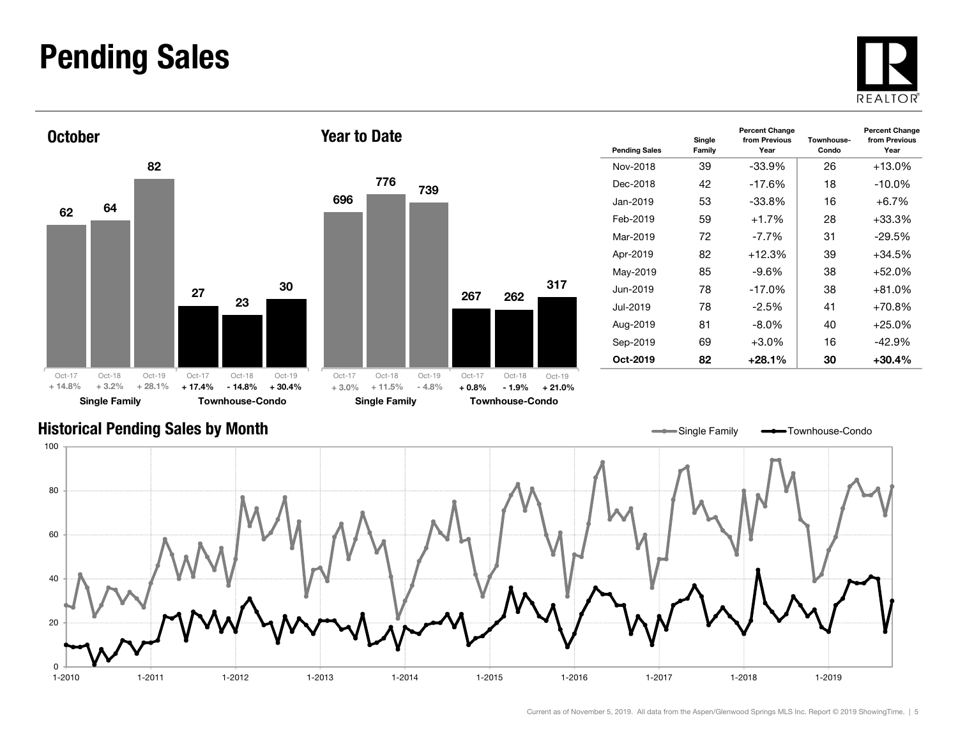#### Pending Sales







| <b>Pending Sales</b> | Single<br>Family | <b>Percent Change</b><br>from Previous<br>Year | Townhouse-<br>Condo | <b>Percent Change</b><br>from Previous<br>Year |
|----------------------|------------------|------------------------------------------------|---------------------|------------------------------------------------|
| Nov-2018             | 39               | -33.9%                                         | 26                  | $+13.0%$                                       |
| Dec-2018             | 42               | $-17.6%$                                       | 18                  | $-10.0\%$                                      |
| Jan-2019             | 53               | -33.8%                                         | 16                  | $+6.7\%$                                       |
| Feb-2019             | 59               | $+1.7%$                                        | 28                  | $+33.3%$                                       |
| Mar-2019             | 72               | $-7.7\%$                                       | 31                  | $-29.5%$                                       |
| Apr-2019             | 82               | $+12.3%$                                       | 39                  | $+34.5%$                                       |
| May-2019             | 85               | -9.6%                                          | 38                  | $+52.0%$                                       |
| Jun-2019             | 78               | $-17.0%$                                       | 38                  | $+81.0%$                                       |
| Jul-2019.            | 78               | $-2.5\%$                                       | 41                  | $+70.8%$                                       |
| Aug-2019             | 81               | -8.0%                                          | 40                  | $+25.0%$                                       |
| Sep-2019             | 69               | $+3.0%$                                        | 16                  | $-42.9%$                                       |
| Oct-2019             | 82               | +28.1%                                         | 30                  | $+30.4\%$                                      |

Single Family **-**Townhouse-Condo

#### Historical Pending Sales by Month

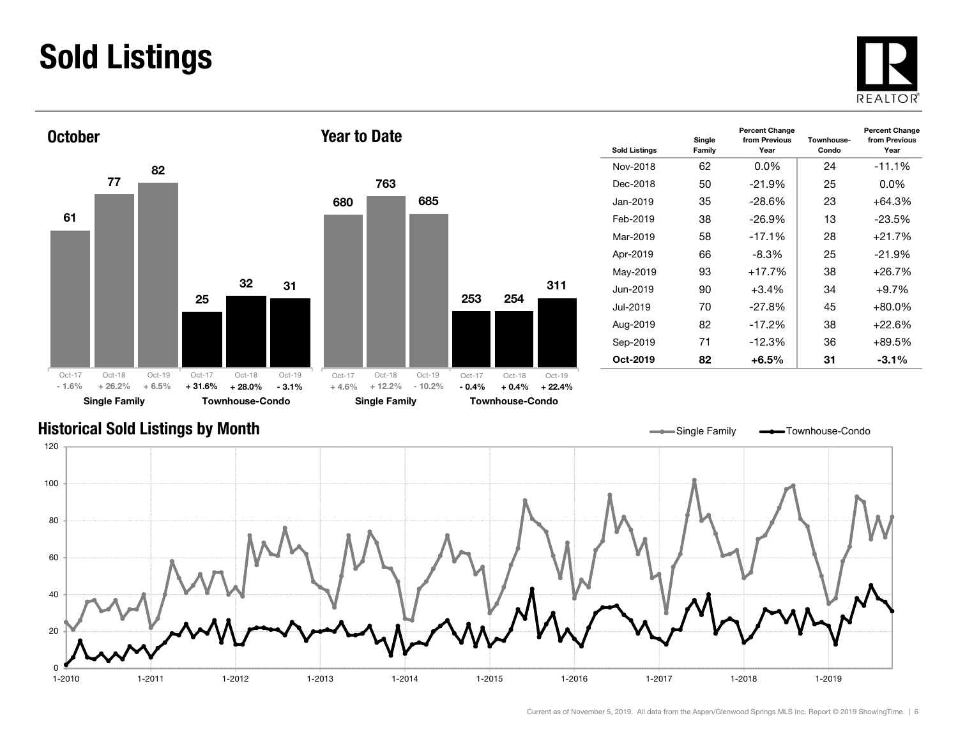### Sold Listings





| <b>Sold Listings</b> | Single<br>Family | <b>Percent Change</b><br>from Previous<br>Year | Townhouse-<br>Condo | <b>Percent Change</b><br>from Previous<br>Year |
|----------------------|------------------|------------------------------------------------|---------------------|------------------------------------------------|
| Nov-2018             | 62               | $0.0\%$                                        | 24                  | $-11.1%$                                       |
| Dec-2018             | 50               | $-21.9%$                                       | 25                  | $0.0\%$                                        |
| Jan-2019             | 35               | $-28.6\%$                                      | 23                  | $+64.3%$                                       |
| Feb-2019             | 38               | $-26.9\%$                                      | 13                  | $-23.5\%$                                      |
| Mar-2019             | 58               | $-17.1%$                                       | 28                  | $+21.7%$                                       |
| Apr-2019             | 66               | $-8.3\%$                                       | 25                  | $-21.9\%$                                      |
| May-2019             | 93               | $+17.7%$                                       | 38                  | $+26.7%$                                       |
| Jun-2019             | 90               | $+3.4\%$                                       | 34                  | $+9.7%$                                        |
| .Jul-2019            | 70               | -27.8%                                         | 45                  | $+80.0\%$                                      |
| Aug-2019             | 82               | $-17.2%$                                       | 38                  | $+22.6%$                                       |
| Sep-2019             | 71               | $-12.3%$                                       | 36                  | $+89.5%$                                       |
| Oct-2019             | 82               | $+6.5%$                                        | 31                  | $-3.1\%$                                       |

#### Historical Sold Listings by Month



311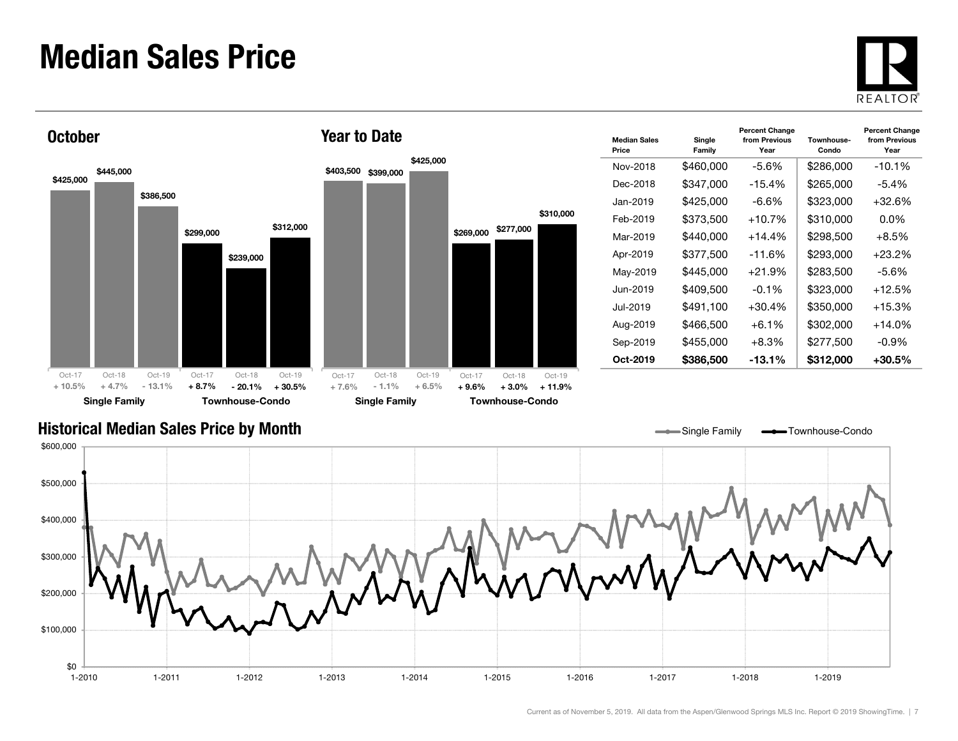#### Median Sales Price





| <b>Median Sales</b><br>Price | Single<br>Family | <b>Percent Change</b><br>from Previous<br>Year | Townhouse-<br>Condo | <b>Percent Change</b><br>from Previous<br>Year |
|------------------------------|------------------|------------------------------------------------|---------------------|------------------------------------------------|
| Nov-2018                     | \$460,000        | $-5.6%$                                        | \$286,000           | $-10.1%$                                       |
| Dec-2018                     | \$347,000        | $-15.4%$                                       | \$265,000           | $-5.4\%$                                       |
| Jan-2019                     | \$425,000        | -6.6%                                          | \$323,000           | $+32.6%$                                       |
| Feb-2019                     | \$373,500        | $+10.7%$                                       | \$310,000           | $0.0\%$                                        |
| Mar-2019                     | \$440,000        | $+14.4%$                                       | \$298,500           | $+8.5\%$                                       |
| Apr-2019                     | \$377,500        | -11.6%                                         | \$293,000           | $+23.2\%$                                      |
| May-2019                     | \$445,000        | $+21.9%$                                       | \$283,500           | $-5.6%$                                        |
| Jun-2019                     | \$409,500        | $-0.1%$                                        | \$323,000           | $+12.5%$                                       |
| Jul-2019                     | \$491,100        | $+30.4\%$                                      | \$350,000           | $+15.3\%$                                      |
| Aug-2019                     | \$466,500        | $+6.1\%$                                       | \$302,000           | $+14.0\%$                                      |
| Sep-2019                     | \$455,000        | $+8.3%$                                        | \$277,500           | $-0.9\%$                                       |
| Oct-2019                     | \$386,500        | $-13.1\%$                                      | \$312,000           | $+30.5\%$                                      |

Single Family **-** Townhouse-Condo

#### Historical Median Sales Price by Month

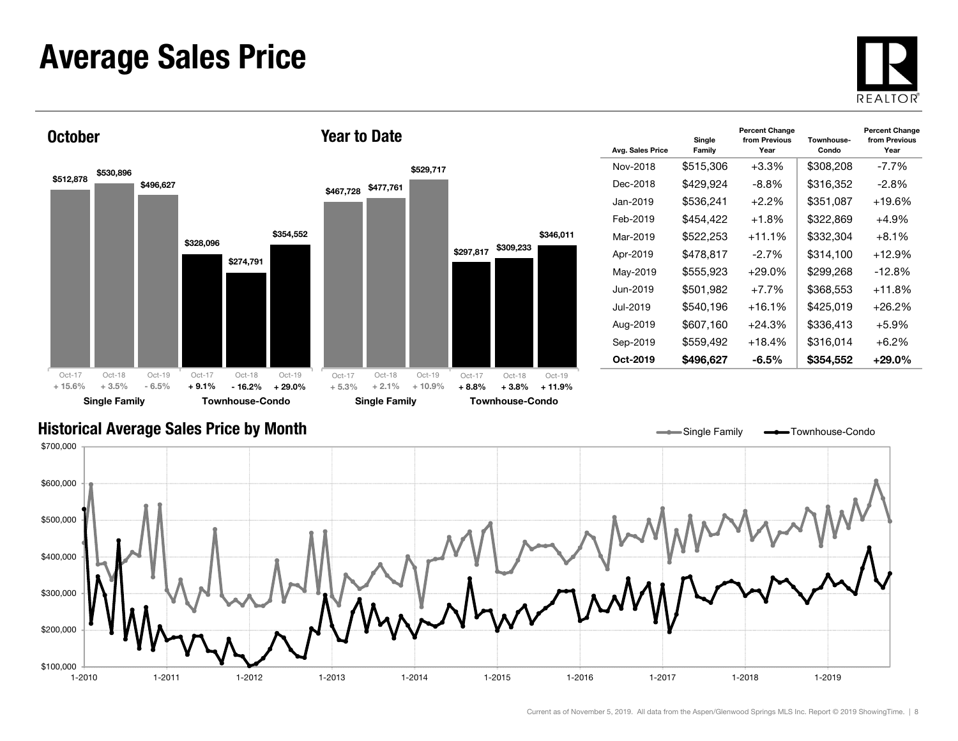#### Average Sales Price





| Avg. Sales Price | Single<br>Family | <b>Percent Change</b><br>from Previous<br>Year | Townhouse-<br>Condo | <b>Percent Change</b><br>from Previous<br>Year |
|------------------|------------------|------------------------------------------------|---------------------|------------------------------------------------|
| Nov-2018         | \$515,306        | $+3.3\%$                                       | \$308,208           | $-7.7\%$                                       |
| Dec-2018         | \$429,924        | -8.8%                                          | \$316,352           | $-2.8%$                                        |
| Jan-2019.        | \$536,241        | $+2.2\%$                                       | \$351,087           | +19.6%                                         |
| Feb-2019         | \$454.422        | $+1.8\%$                                       | \$322.869           | $+4.9%$                                        |
| Mar-2019         | \$522,253        | $+11.1%$                                       | \$332,304           | $+8.1%$                                        |
| Apr-2019         | \$478,817        | $-2.7%$                                        | \$314,100           | +12.9%                                         |
| May-2019         | \$555,923        | $+29.0\%$                                      | \$299,268           | $-12.8\%$                                      |
| Jun-2019         | \$501,982        | $+7.7%$                                        | \$368,553           | +11.8%                                         |
| Jul-2019.        | \$540,196        | $+16.1%$                                       | \$425,019           | +26.2%                                         |
| Aug-2019         | \$607,160        | $+24.3%$                                       | \$336,413           | $+5.9%$                                        |
| Sep-2019         | \$559,492        | $+18.4%$                                       | \$316,014           | $+6.2%$                                        |
| Oct-2019         | \$496,627        | -6.5%                                          | \$354,552           | +29.0%                                         |

Single Family **-**Townhouse-Condo

#### Historical Average Sales Price by Month

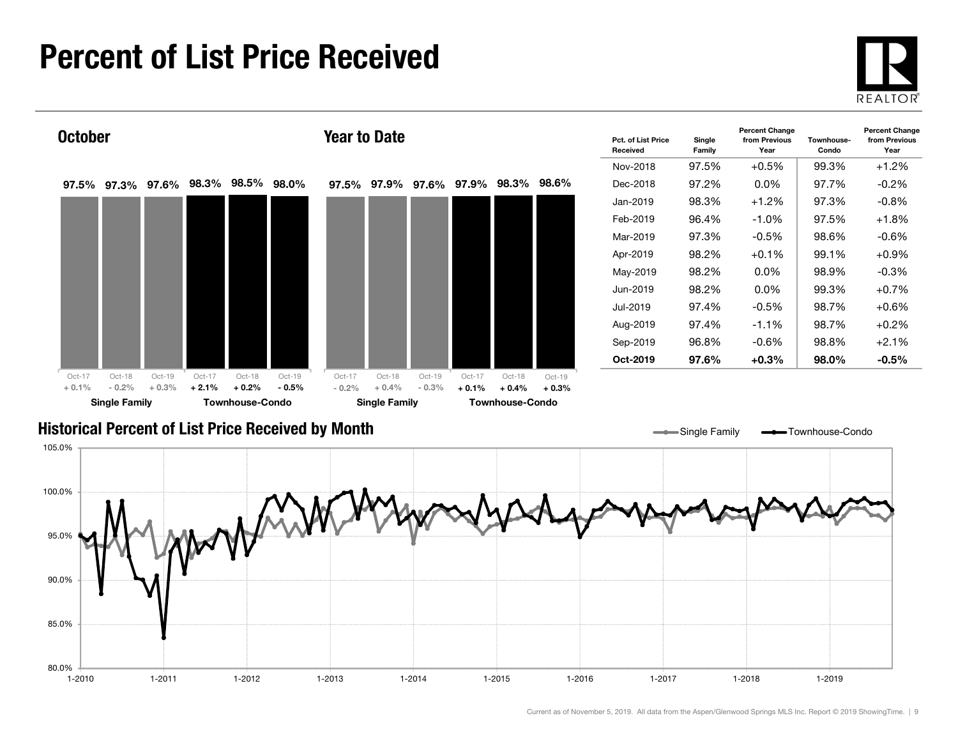#### Percent of List Price Received

80.0%

85.0%

90.0%





1-2010 1-2011 1-2012 1-2013 1-2014 1-2015 1-2016 1-2017 1-2018 1-2019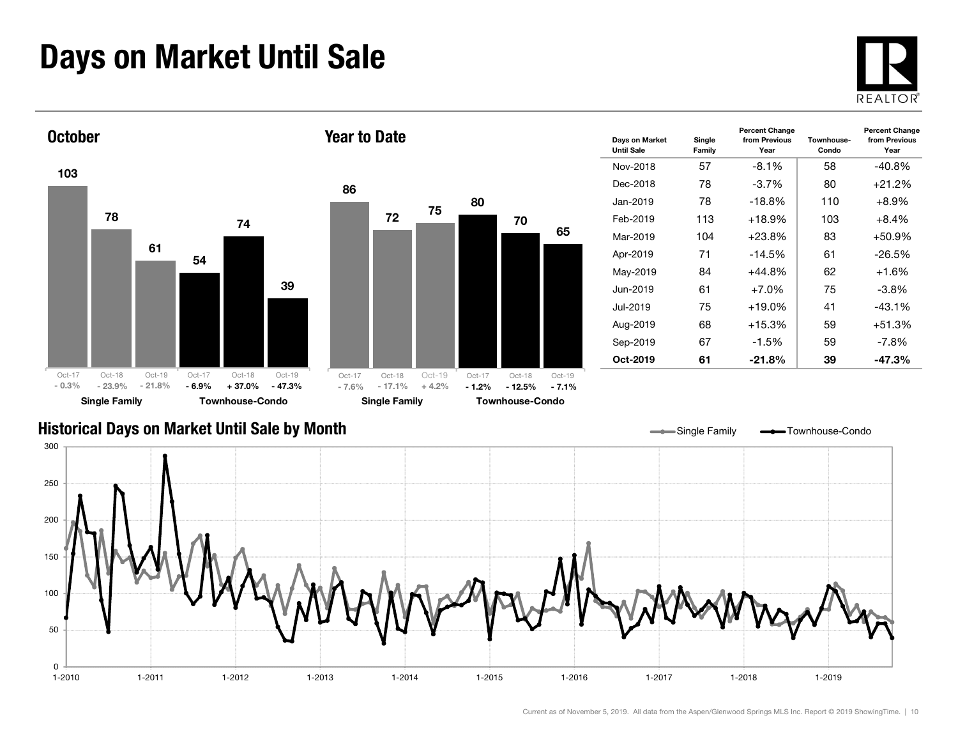## Days on Market Until Sale





| <b>Davs on Market</b><br><b>Until Sale</b> | Single<br>Family | <b>Percent Change</b><br>from Previous<br>Year | Townhouse-<br>Condo | <b>Percent Change</b><br>from Previous<br>Year |
|--------------------------------------------|------------------|------------------------------------------------|---------------------|------------------------------------------------|
| Nov-2018                                   | 57               | $-8.1%$                                        | 58                  | $-40.8%$                                       |
| Dec-2018                                   | 78               | $-3.7\%$                                       | 80                  | +21.2%                                         |
| Jan-2019                                   | 78               | $-18.8%$                                       | 110                 | $+8.9\%$                                       |
| Feb-2019                                   | 113              | $+18.9%$                                       | 103                 | $+8.4\%$                                       |
| Mar-2019                                   | 104              | $+23.8%$                                       | 83                  | +50.9%                                         |
| Apr-2019                                   | 71               | $-14.5%$                                       | 61                  | -26.5%                                         |
| May-2019                                   | 84               | $+44.8%$                                       | 62                  | $+1.6%$                                        |
| Jun-2019                                   | 61               | $+7.0%$                                        | 75                  | $-3.8\%$                                       |
| .Jul-2019                                  | 75               | $+19.0%$                                       | 41                  | $-43.1%$                                       |
| Aug-2019                                   | 68               | $+15.3%$                                       | 59                  | $+51.3%$                                       |
| Sep-2019                                   | 67               | $-1.5\%$                                       | 59                  | -7.8%                                          |
| Oct-2019                                   | 61               | $-21.8%$                                       | 39                  | $-47.3%$                                       |

#### Historical Days on Market Until Sale by Month

Single Family **-** Townhouse-Condo



70

65

Oct-18 Oct-19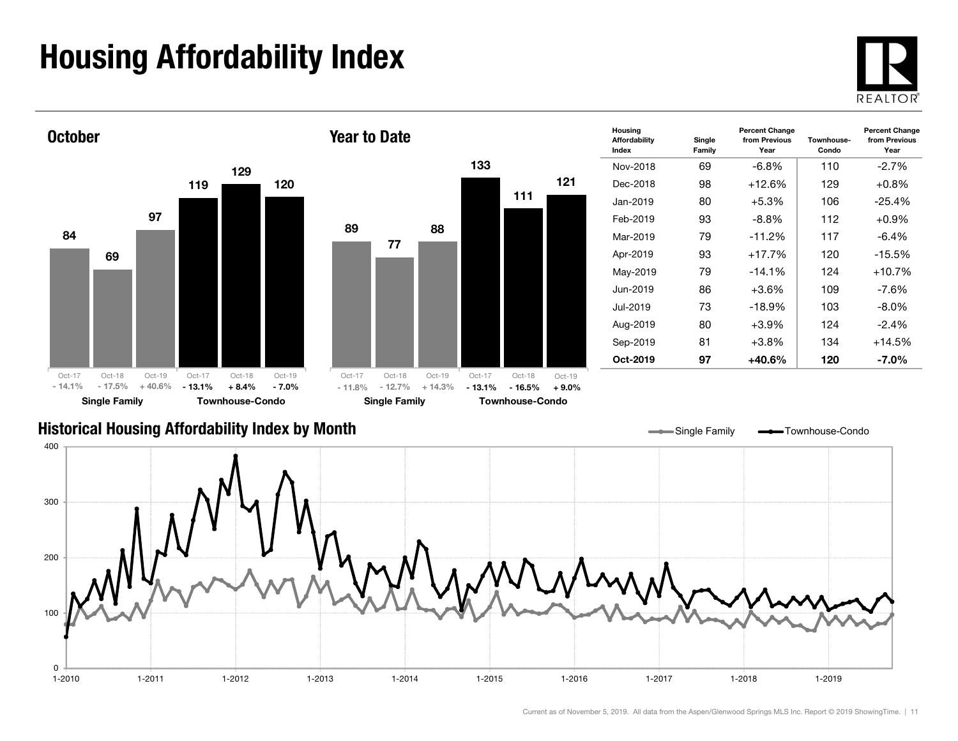# Housing Affordability Index



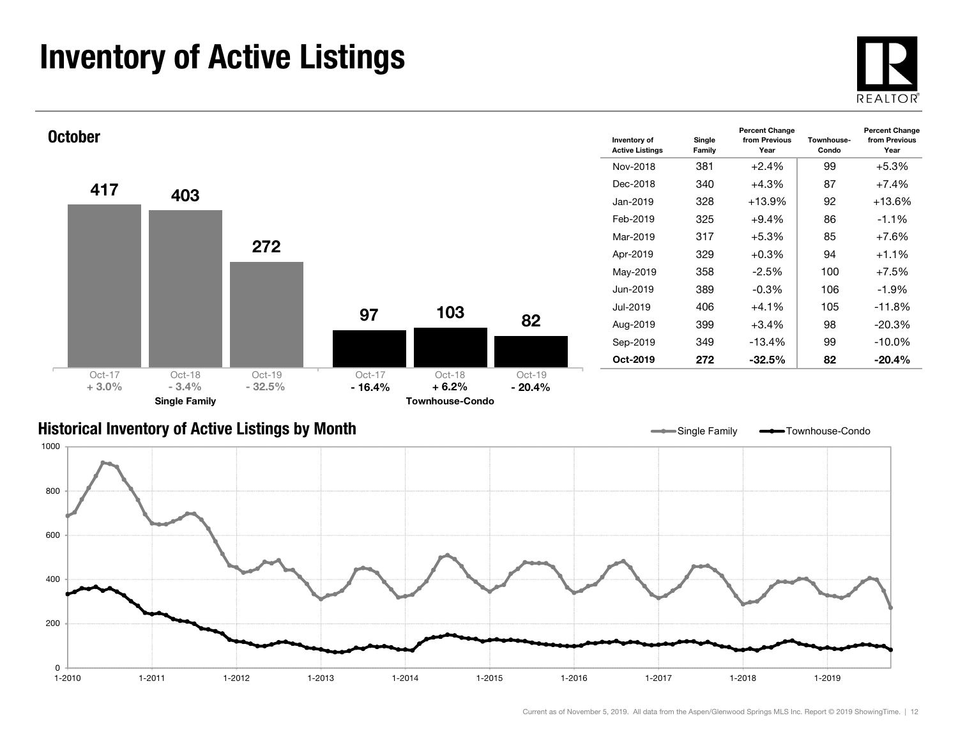### Inventory of Active Listings





#### Historical Inventory of Active Listings by Month

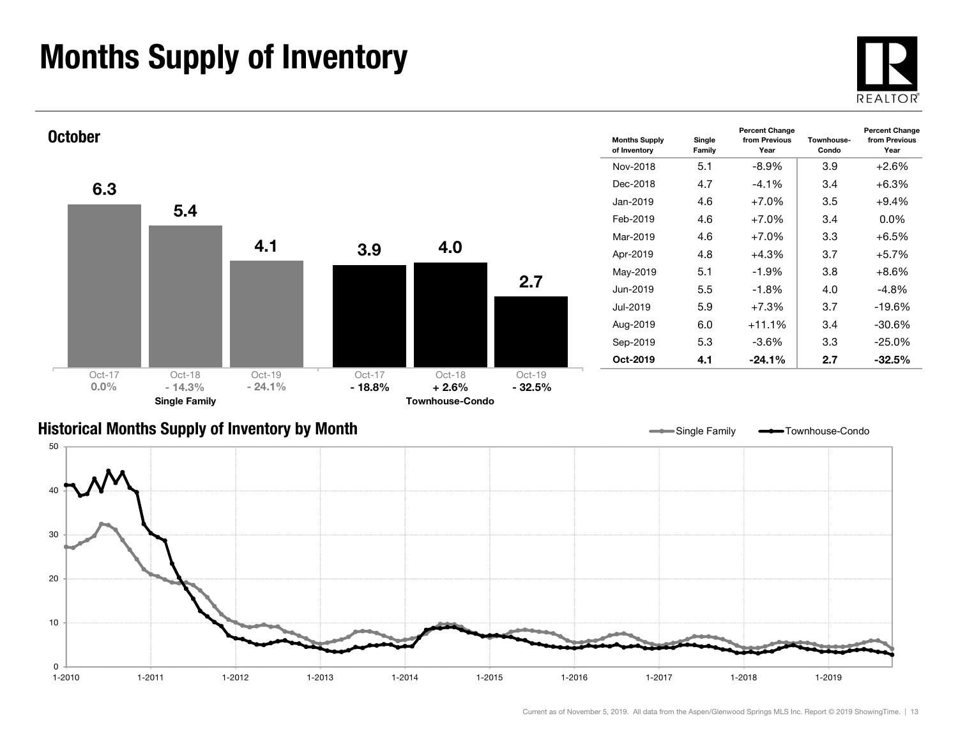### Months Supply of Inventory





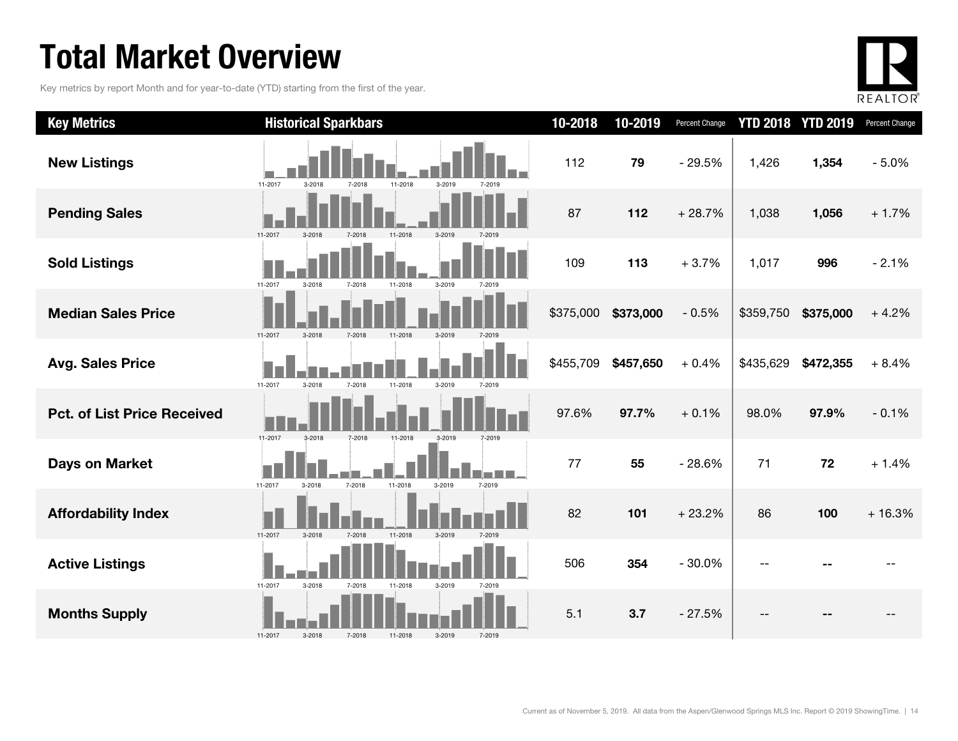### Total Market Overview

Key metrics by report Month and for year-to-date (YTD) starting from the first of the year.



| <b>Key Metrics</b>                 | <b>Historical Sparkbars</b>                                    | 10-2018   | 10-2019   | Percent Change |           | <b>YTD 2018 YTD 2019</b> | Percent Change |
|------------------------------------|----------------------------------------------------------------|-----------|-----------|----------------|-----------|--------------------------|----------------|
| <b>New Listings</b>                | 11-2017<br>3-2018<br>11-2018<br>7-2018<br>3-2019<br>7-2019     | 112       | 79        | $-29.5%$       | 1,426     | 1,354                    | $-5.0%$        |
| <b>Pending Sales</b>               | 11-2017<br>3-2019<br>3-2018<br>7-2018<br>11-2018               | 87        | 112       | $+28.7%$       | 1,038     | 1,056                    | $+1.7%$        |
| <b>Sold Listings</b>               | 3-2019<br>11-2017<br>3-2018<br>7-2018<br>11-2018               | 109       | 113       | $+3.7%$        | 1,017     | 996                      | $-2.1%$        |
| <b>Median Sales Price</b>          | 11-2017<br>3-2018<br>7-2018<br>11-2018<br>3-2019               | \$375,000 | \$373,000 | $-0.5%$        | \$359,750 | \$375,000                | $+4.2%$        |
| <b>Avg. Sales Price</b>            | 11-2017<br>3-2018<br>7-2018<br>11-2018<br>3-2019<br>7-2019     | \$455,709 | \$457,650 | $+0.4%$        | \$435,629 | \$472,355                | $+8.4%$        |
| <b>Pct. of List Price Received</b> | 11-2017<br>$3-2018$<br>7-2018<br>11-2018<br>$3-2019$           | 97.6%     | 97.7%     | $+0.1%$        | 98.0%     | 97.9%                    | $-0.1%$        |
| <b>Days on Market</b>              | 11-2017<br>$3 - 2018$<br>7-2018<br>11-2018<br>3-2019<br>7-2019 | 77        | 55        | $-28.6%$       | 71        | 72                       | $+1.4%$        |
| <b>Affordability Index</b>         | 11-2017<br>3-2019<br>3-2018<br>7-2018<br>11-2018<br>7-2010     | 82        | 101       | $+23.2%$       | 86        | 100                      | $+16.3%$       |
| <b>Active Listings</b>             | 11-2017<br>3-2018<br>7-2018<br>11-2018<br>3-2019<br>7-2019     | 506       | 354       | $-30.0%$       |           |                          |                |
| <b>Months Supply</b>               | 11-2017<br>3-2018<br>3-2019<br>7-2019<br>7-2018<br>11-2018     | 5.1       | 3.7       | $-27.5%$       |           |                          |                |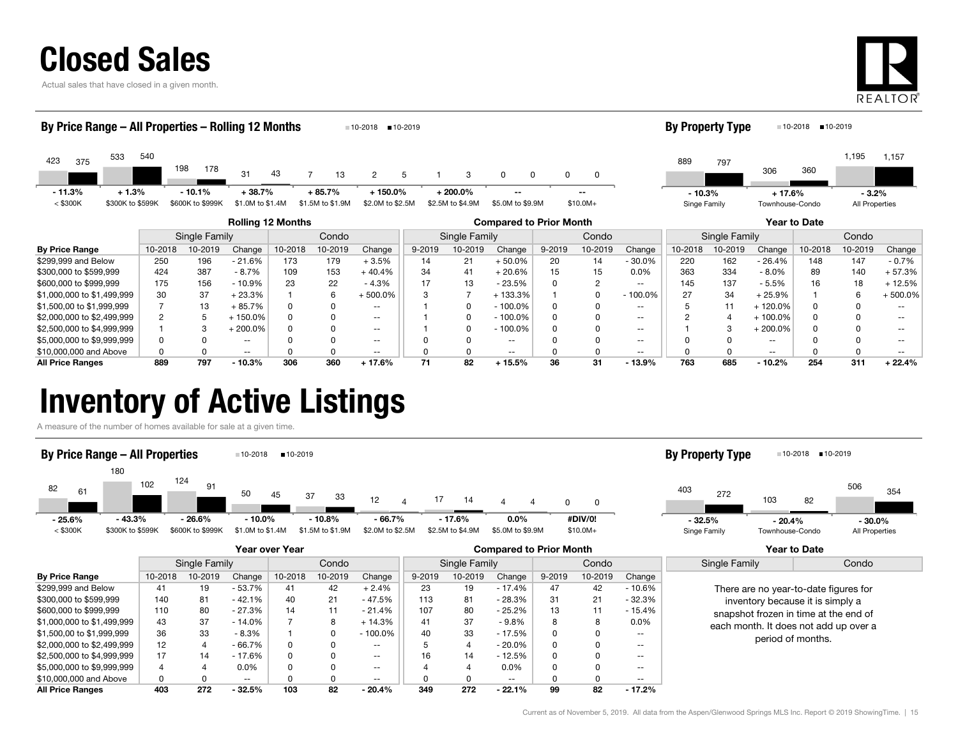Actual sales that have closed in a given month.



| By Price Range – All Properties – Rolling 12 Months<br>∎10-2018<br>■10-2019 |                             |         |                              |                              |                          |                             |                              |            |                                |                                | <b>By Property Type</b> |                         |            | ■10-2019<br>■10-2018     |         |                             |                     |                           |                   |
|-----------------------------------------------------------------------------|-----------------------------|---------|------------------------------|------------------------------|--------------------------|-----------------------------|------------------------------|------------|--------------------------------|--------------------------------|-------------------------|-------------------------|------------|--------------------------|---------|-----------------------------|---------------------|---------------------------|-------------------|
| 423<br>375                                                                  | 533                         | 540     | 198<br>178                   | 31                           | 43                       | 13                          | 2                            | 5          | 3                              | 0                              | $\Omega$<br>0           | 0                       |            | 889                      | 797     | 306                         | 360                 | 1,195                     | 1,157             |
| $-11.3%$<br>$<$ \$300K                                                      | $+1.3%$<br>\$300K to \$599K |         | $-10.1%$<br>\$600K to \$999K | $+38.7%$<br>\$1.0M to \$1.4M |                          | + 85.7%<br>\$1.5M to \$1.9M | + 150.0%<br>\$2,0M to \$2,5M |            | $+200.0\%$<br>\$2.5M to \$4.9M | --<br>\$5.0M to \$9.9M         |                         | $\sim$ $-$<br>$$10.0M+$ |            | $-10.3%$<br>Singe Family |         | $+17.6%$<br>Townhouse-Condo |                     | $-3.2%$<br>All Properties |                   |
|                                                                             |                             |         |                              |                              | <b>Rolling 12 Months</b> |                             |                              |            |                                | <b>Compared to Prior Month</b> |                         |                         |            |                          |         |                             | <b>Year to Date</b> |                           |                   |
| Single Family                                                               |                             |         |                              | Condo                        |                          |                             | Condo<br>Single Family       |            |                                |                                | Single Family           |                         |            | Condo                    |         |                             |                     |                           |                   |
| <b>By Price Range</b>                                                       |                             | 10-2018 | 10-2019                      | Change                       | 10-2018                  | 10-2019                     | Change                       | $9 - 2019$ | 10-2019                        | Change                         | 9-2019                  | 10-2019                 | Change     | 10-2018                  | 10-2019 | Change                      | 10-2018             | 10-2019                   | Change            |
| \$299,999 and Below                                                         |                             | 250     | 196                          | $-21.6%$                     | 173                      | 179                         | $+3.5%$                      | 14         | 21                             | $+50.0%$                       | 20                      | 14                      | $-30.0%$   | 220                      | 162     | $-26.4%$                    | 148                 | 147                       | $-0.7%$           |
| \$300,000 to \$599,999                                                      |                             | 424     | 387                          | - 8.7%                       | 109                      | 153                         | $+40.4%$                     | 34         | 41                             | $+20.6%$                       | 15                      | 15                      | $0.0\%$    | 363                      | 334     | $-8.0\%$                    | 89                  | 140                       | $+57.3%$          |
| \$600,000 to \$999,999                                                      |                             | 175     | 156                          | $-10.9%$                     | 23                       | 22                          | $-4.3%$                      |            | 13                             | $-23.5%$                       | $\Omega$                | $\overline{2}$          | $- -$      | 145                      | 137     | $-5.5%$                     | 16                  | 18                        | $+12.5%$          |
| \$1,000,000 to \$1,499,999                                                  |                             | 30      | 37                           | $+23.3%$                     |                          | 6                           | - 500.0%                     |            |                                | $+133.3%$                      |                         |                         | $-100.0\%$ | 27                       | 34      | $+25.9%$                    |                     |                           | $+500.0%$         |
| \$1,500,00 to \$1,999,999                                                   |                             |         | 13                           | $+85.7%$                     | <sup>0</sup>             |                             | $\overline{\phantom{m}}$     |            |                                | $-100.0%$                      | $\Omega$                |                         | $- -$      |                          |         | $+120.0%$                   | $\Omega$            |                           | $\qquad \qquad -$ |
| \$2,000,000 to \$2,499,999                                                  |                             |         |                              | $+150.0%$                    |                          |                             | $- -$                        |            |                                | $-100.0%$                      |                         |                         | $- -$      |                          |         | $+100.0%$                   |                     |                           | $- -$             |

\$2,500,000 to \$4,999,999 1 3 + 200.0% 0 0 -- 1 0 - 100.0% 0 0 -- 1 3 + 200.0% 0 0 -- \$5,000,000 to \$9,999,999 **discript of the CONT OF CONTACT OF CONTACT OF CONTACT OF CONTACT OF CONTACT OF CONTACT OF CONTACT OF CONTACT OF CONTACT OF CONTACT OF CONTACT OF CONTACT OF CONTACT OF CONTACT OF CONTACT OF CONTACT** \$10,000,000 and Above 0 0 -- 0 0 -- 0 0 -- 0 0 -- 0 0 -- 0 0 -- All Price Ranges 889 797 - 10.3% 306 360 + 17.6% 71 82 + 15.5% 36 31 - 13.9% 763 685 - 10.2% 254 311 + 22.4%

### Inventory of Active Listings

A measure of the number of homes available for sale at a given time.



|                            | Year over Year |         |           |         |         |                          |               |         | <b>Compared to Prior Month</b> |        |         | Year to Date             |                                  |                                       |  |
|----------------------------|----------------|---------|-----------|---------|---------|--------------------------|---------------|---------|--------------------------------|--------|---------|--------------------------|----------------------------------|---------------------------------------|--|
|                            | Single Family  |         |           | Condo   |         |                          | Single Family |         |                                | Condo  |         |                          | Single Family                    | Condo                                 |  |
| <b>By Price Range</b>      | 10-2018        | 10-2019 | Change    | 10-2018 | 10-2019 | Change                   | 9-2019        | 10-2019 | Change                         | 9-2019 | 10-2019 | Change                   |                                  |                                       |  |
| \$299,999 and Below        | 41             | 19      | - 53.7%   | 41      | 42      | $+2.4%$                  | 23            | 19      | $-17.4%$                       | 47     | 42      | $-10.6%$                 |                                  | There are no year-to-date figures for |  |
| \$300,000 to \$599.999     | 140            | 81      | $-42.1%$  | 40      | 21      | - 47.5%                  | 113           | 81      | $-28.3%$                       | 31     | 21      | $-32.3%$                 | inventory because it is simply a |                                       |  |
| \$600,000 to \$999,999     | 110            | 80      | - 27.3%   | 14      | 11      | $-21.4%$                 | 107           | 80      | $-25.2%$                       | 13     | 11      | $-15.4%$                 |                                  | snapshot frozen in time at the end of |  |
| \$1,000,000 to \$1,499,999 | 43             | 37      | $-14.0\%$ |         | 8       | $+14.3%$                 | 41            | 37      | - 9.8%                         | 8      |         | $0.0\%$                  |                                  | each month. It does not add up over a |  |
| \$1,500,00 to \$1,999,999  | 36             | 33      | $-8.3%$   |         |         | $-100.0\%$               | 40            | 33      | $-17.5%$                       |        |         | $- -$                    |                                  | period of months.                     |  |
| \$2,000,000 to \$2,499,999 | 12             |         | - 66.7%   | 0       | 0       | $\overline{\phantom{a}}$ |               | 4       | $-20.0\%$                      |        |         | $- -$                    |                                  |                                       |  |
| \$2,500,000 to \$4,999,999 | 17             | 14      | - 17.6%   | 0       |         | $\overline{\phantom{a}}$ | 16            | 14      | $-12.5%$                       |        |         | $\overline{\phantom{a}}$ |                                  |                                       |  |
| \$5,000,000 to \$9,999,999 |                |         | $0.0\%$   |         |         | $- -$                    |               |         | $0.0\%$                        |        |         | $- -$                    |                                  |                                       |  |
| \$10,000,000 and Above     |                |         | $- -$     |         |         | $\overline{\phantom{a}}$ |               |         | $- -$                          |        |         | $- -$                    |                                  |                                       |  |
| <b>All Price Ranges</b>    | 403            | 272     | $-32.5%$  | 103     | 82      | $-20.4%$                 | 349           | 272     | $-22.1%$                       | 99     | 82      | $-17.2%$                 |                                  |                                       |  |